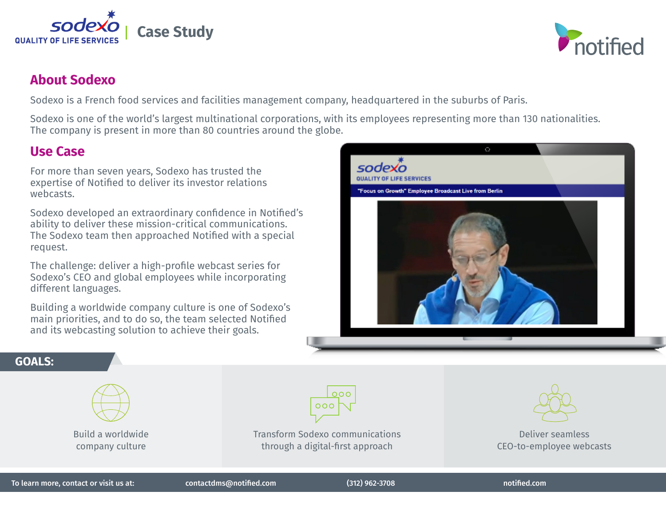

## **About Sodexo**

Sodexo is a French food services and facilities management company, headquartered in the suburbs of Paris.

Sodexo is one of the world's largest multinational corporations, with its employees representing more than 130 nationalities. The company is present in more than 80 countries around the globe.

## **Use Case**

For more than seven years, Sodexo has trusted the expertise of Notified to deliver its investor relations webcasts.

Sodexo developed an extraordinary confidence in Notified's ability to deliver these mission-critical communications. The Sodexo team then approached Notified with a special request.

The challenge: deliver a high-profile webcast series for Sodexo's CEO and global employees while incorporating different languages.

Building a worldwide company culture is one of Sodexo's main priorities, and to do so, the team selected Notified and its webcasting solution to achieve their goals.



### **GOALS:**





Transform Sodexo communications through a digital-first approach



#### Deliver seamless CEO-to-employee webcasts

To learn more, contact or visit us at: contactdms@notified.com (312) 962-3708 notified.com